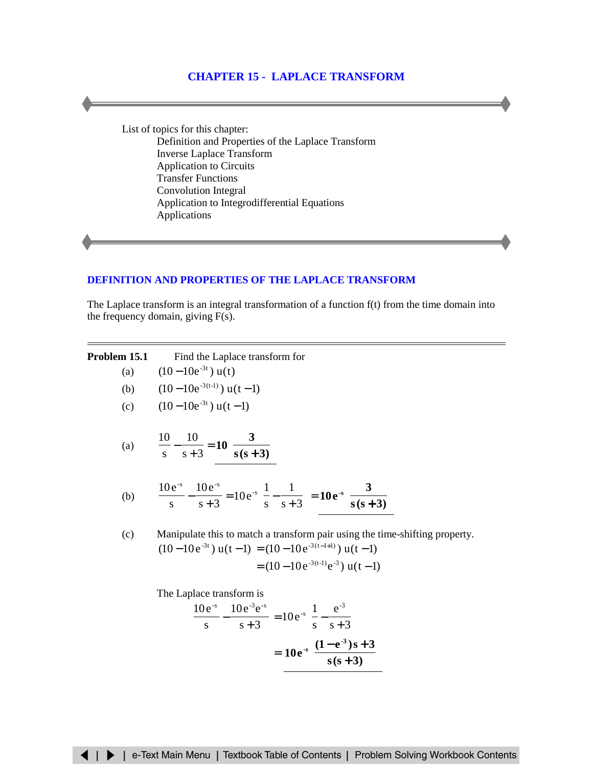# **[CHAPTER 15 - LAPLACE TRANSFORM](#page-1-0)**

List of topics for this chapter: Definition and Properties of the Laplace Transform [Inverse Laplace Transform](#page-1-0) [Application to Circuits](#page-5-0) [Transfer Functions](#page-18-0) [Convolution Integral](#page-20-0) [Application to Integrodifferential Equations](#page-21-0) [Applications](#page-24-0)

# **[DEFINITION AND PROPERTIES OF](#page-2-0) THE LAPLACE TRANSFORM**

The Laplace transform is an integral transformation of a function f(t) from the time domain into the frequency domain, giving F(s).

| Problem 15.1 | Find the Laplace transform for                                                                                                                                                |  |  |  |  |  |
|--------------|-------------------------------------------------------------------------------------------------------------------------------------------------------------------------------|--|--|--|--|--|
| (a)          | $(10-10e^{-3t})$ u(t)                                                                                                                                                         |  |  |  |  |  |
| (b)          | $(10-10e^{-3(t-1)})$ u(t-1)                                                                                                                                                   |  |  |  |  |  |
| (c)          | $(10-10e^{-3t})$ u(t-1)                                                                                                                                                       |  |  |  |  |  |
|              | (a) $\frac{10}{s} - \frac{10}{s+3} = 10 \left( \frac{3}{s(s+3)} \right)$                                                                                                      |  |  |  |  |  |
|              | (b) $\frac{10e^{-s}}{s} - \frac{10e^{-s}}{s+3} = 10e^{-s} \left( \frac{1}{s} - \frac{1}{s+3} \right) = 10e^{-s} \left( \frac{3}{s(s+3)} \right)$                              |  |  |  |  |  |
| (c)          | Manipulate this to match a transform pair using the time-shifting property.<br>$(10-10e^{-3t})$ u(t-1) = $(10-10e^{-3(t-1+1)})$ u(t-1)<br>$= (10-10e^{-3(t-1)}e^{-3})$ u(t-1) |  |  |  |  |  |
|              | The Laplace transform is<br>$\frac{10e^{-s}}{s} - \frac{10e^{-3}e^{-s}}{s+3} = 10e^{-s} \left( \frac{1}{s} - \frac{e^{-s}}{s+3} \right)$                                      |  |  |  |  |  |

$$
\frac{e^{3} - 10e^{3}e^{3}}{s+3} = 10e^{3}\left(\frac{1}{s} - \frac{e^{3}}{s+3}\right)
$$

$$
= 10e^{3}\left(\frac{(1-e^{3})s+3}{s(s+3)}\right)
$$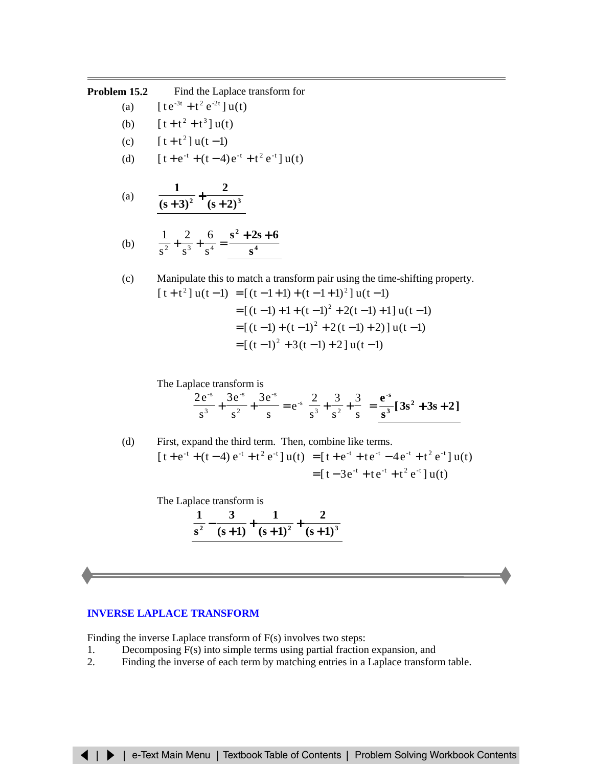# <span id="page-1-0"></span>**Problem 15.2** Find the Laplace transform for

- (a)  $\int t e^{-3t} + t^2 e^{-2t} \, du(t)$
- (b)  $[t+t^2+t^3]u(t)$
- (c)  $\int [t+t^2] u(t-1)$
- (d)  $[t+e^{-t} + (t-4)e^{-t} + t^2e^{-t}]u(t)$

(a) 
$$
\frac{1}{(s+3)^2} + \frac{2}{(s+2)^3}
$$

(b) 
$$
\frac{1}{s^2} + \frac{2}{s^3} + \frac{6}{s^4} = \frac{s^2 + 2s + 6}{s^4}
$$

(c) Manipulate this to match a transform pair using the time-shifting property.  $[t+t^2]u(t-1) = [(t-1+1)+(t-1+1)^2]u(t-1)$  $=[(t-1)+1+(t-1)^{2}+2(t-1)+1]u(t-1)$  $=[(t-1)+(t-1)^2+2(t-1)+2]$ ]u(t-1)  $=[(t-1)^2+3(t-1)+2]u(t-1)$ 

The Laplace transform is

$$
\left[\frac{2e^{-s}}{s^3} + \frac{3e^{-s}}{s^2} + \frac{3e^{-s}}{s} = e^{-s}\left[\frac{2}{s^3} + \frac{3}{s^2} + \frac{3}{s}\right] = \frac{e^{-s}}{s^3} [3s^2 + 3s + 2]
$$

(d) First, expand the third term. Then, combine like terms.  $[t+e^{-t}+(t-4) e^{-t}+t^2 e^{-t}] u(t) = [t+e^{-t}+te^{-t}-4e^{-t}+t^2 e^{-t}] u(t)$  $=\left[t-3e^{-t}+te^{-t}+t^2e^{-t}\right]u(t)$ 

The Laplace transform is

$$
\frac{1}{s^2} - \frac{3}{(s+1)} + \frac{1}{(s+1)^2} + \frac{2}{(s+1)^3}
$$

# **[INVERSE LAPLACE TRANSFORM](#page-15-0)**

Finding the inverse Laplace transform of F(s) involves two steps:

- 1. Decomposing F(s) into simple terms using partial fraction expansion, and
- 2. Finding the inverse of each term by matching entries in a Laplace transform table.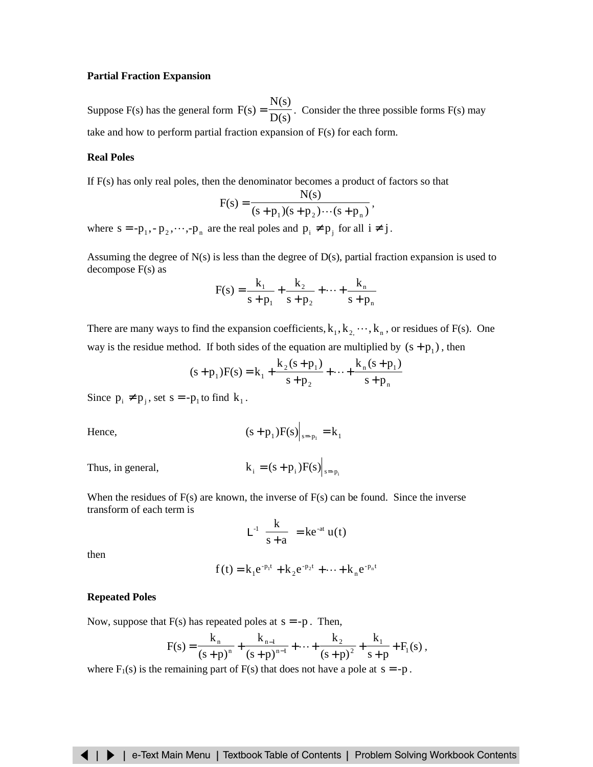# <span id="page-2-0"></span>**Partial Fraction Expansion**

Suppose F(s) has the general form  $F(s) = \frac{g(s)}{D(s)}$  $F(s) = \frac{N(s)}{N(s)}$ . Consider the three possible forms F(s) may take and how to perform partial fraction expansion of  $F(s)$  for each form.

### **Real Poles**

If F(s) has only real poles, then the denominator becomes a product of factors so that

$$
F(s) = \frac{N(s)}{(s+p_1)(s+p_2)\cdots(s+p_n)},
$$

where  $s = -p_1, -p_2, \dots, -p_n$  are the real poles and  $p_i \neq p_j$  for all  $i \neq j$ .

Assuming the degree of N(s) is less than the degree of D(s), partial fraction expansion is used to decompose F(s) as

$$
F(s) = \frac{k_1}{s + p_1} + \frac{k_2}{s + p_2} + \dots + \frac{k_n}{s + p_n}
$$

There are many ways to find the expansion coefficients,  $k_1, k_2, \dots, k_n$ , or residues of F(s). One way is the residue method. If both sides of the equation are multiplied by  $(s + p_1)$ , then

$$
(s+p_1)F(s) = k_1 + \frac{k_2(s+p_1)}{s+p_2} + \dots + \frac{k_n(s+p_1)}{s+p_n}
$$

Since  $p_i \neq p_j$ , set  $s = -p_1$  to find  $k_1$ .

Hence, 
$$
(s+p_1)F(s)|_{s=p_1} = k_1
$$

Thus, in general,  $k_i = (s + p_i)F(s) \Big|_{s = p_i}$ 

When the residues of  $F(s)$  are known, the inverse of  $F(s)$  can be found. Since the inverse transform of each term is

$$
L^{-1}\left[\frac{k}{s+a}\right] = ke^{-at} u(t)
$$

then

$$
f(t) = k_1 e^{-p_1 t} + k_2 e^{-p_2 t} + \dots + k_n e^{-p_n t}
$$

#### **Repeated Poles**

Now, suppose that  $F(s)$  has repeated poles at  $s = -p$ . Then,

$$
F(s) = \frac{k_n}{(s+p)^n} + \frac{k_{n-1}}{(s+p)^{n-1}} + \dots + \frac{k_2}{(s+p)^2} + \frac{k_1}{s+p} + F_1(s) ,
$$

where  $F_1(s)$  is the remaining part of  $F(s)$  that does not have a pole at  $s = -p$ .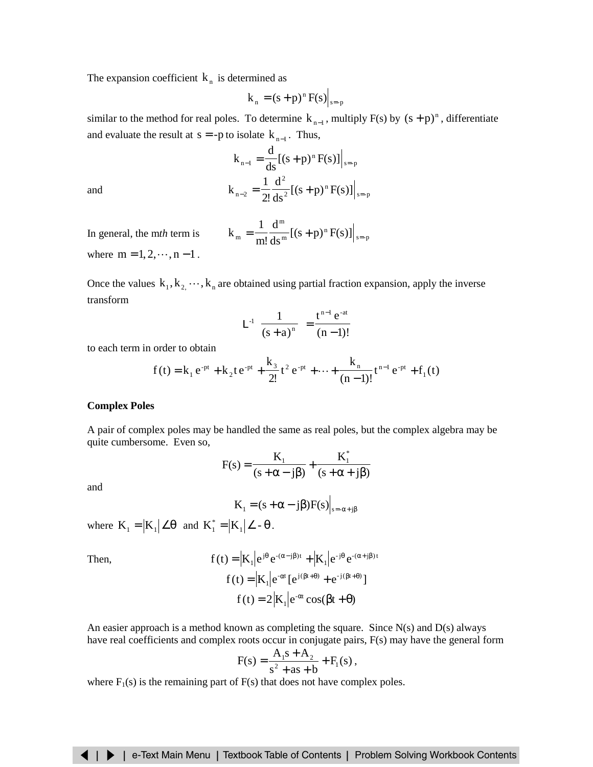The expansion coefficient  $k_n$  is determined as

$$
k_n = (s+p)^n F(s)|_{s=p}
$$

similar to the method for real poles. To determine  $k_{n-1}$ , multiply F(s) by  $(s + p)^n$ , differentiate and evaluate the result at  $s = -p$  to isolate  $k_{n-1}$ . Thus,

and  

$$
k_{n-1} = \frac{d}{ds} [(s+p)^n F(s)]|_{s=p}
$$

$$
k_{n-2} = \frac{1}{2!} \frac{d^2}{ds^2} [(s+p)^n F(s)]|_{s=p}
$$

In general, the m<sub>th</sub> term is 
$$
k_m = \frac{1}{m!} \frac{d^m}{ds^m} [(s+p)^n F(s)]|_{s=p}
$$

where  $m = 1, 2, \dots, n - 1$ .

Once the values  $k_1, k_2, \dots, k_n$  are obtained using partial fraction expansion, apply the inverse transform

$$
L^{-1}\left[\frac{1}{(s+a)^n}\right] = \frac{t^{n-1} e^{-at}}{(n-1)!}
$$

to each term in order to obtain

$$
f(t) = k_1 e^{-pt} + k_2 t e^{-pt} + \frac{k_3}{2!} t^2 e^{-pt} + \dots + \frac{k_n}{(n-1)!} t^{n-1} e^{-pt} + f_1(t)
$$

#### **Complex Poles**

A pair of complex poles may be handled the same as real poles, but the complex algebra may be quite cumbersome. Even so,

$$
F(s) = \frac{K_1}{(s + \alpha - j\beta)} + \frac{K_1^*}{(s + \alpha + j\beta)}
$$

and

$$
K_1 = (s + \alpha - j\beta)F(s)|_{s = -\alpha + j\beta}
$$

where  $K_1 = |K_1| \angle \theta$  and  $K_1^* = |K_1| \angle -\theta$ .

Then,  
\n
$$
f(t) = |K_1|e^{j\theta}e^{-(\alpha - j\beta)t} + |K_1|e^{-j\theta}e^{-(\alpha + j\beta)t}
$$
\n
$$
f(t) = |K_1|e^{-\alpha t}[e^{j(\beta t + \theta)} + e^{-j(\beta t + \theta)}]
$$
\n
$$
f(t) = 2|K_1|e^{-\alpha t}\cos(\beta t + \theta)
$$

An easier approach is a method known as completing the square. Since  $N(s)$  and  $D(s)$  always have real coefficients and complex roots occur in conjugate pairs, F(s) may have the general form

$$
F(s) = \frac{A_1s + A_2}{s^2 + as + b} + F_1(s),
$$

where  $F_1(s)$  is the remaining part of  $F(s)$  that does not have complex poles.

# ◀ | ▶ | e-Text Main Menu | Textbook Table of Contents | Problem Solving Workbook Contents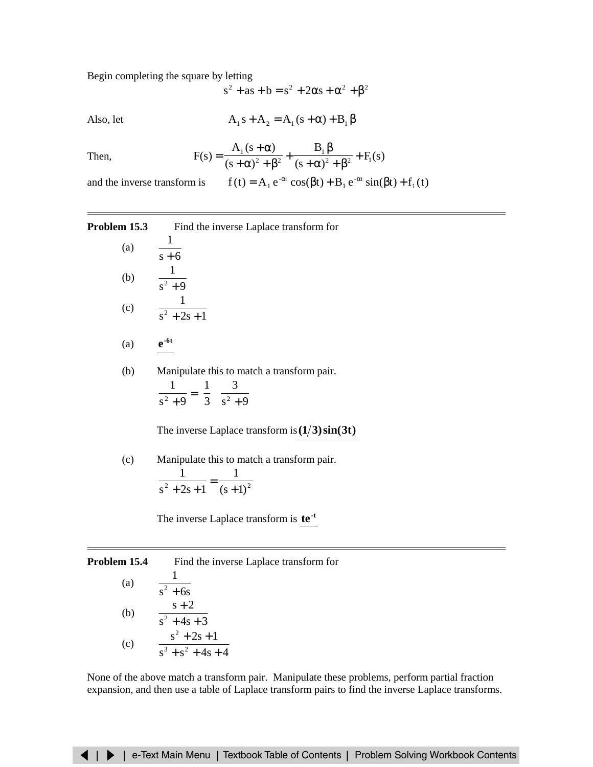Begin completing the square by letting

$$
s^2 + as + b = s^2 + 2\alpha s + \alpha^2 + \beta^2
$$

Also, let

$$
A_1 s + A_2 = A_1 (s + \alpha) + B_1 \beta
$$

Then, 
$$
F(s) = \frac{A_1(s+\alpha)}{(s+\alpha)^2 + \beta^2} + \frac{B_1 \beta}{(s+\alpha)^2 + \beta^2} + F_1(s)
$$

and the inverse transform is  $f(t) = A_1 e^{-\alpha t} \cos(\beta t) + B_1 e^{-\alpha t} \sin(\beta t) + f_1(t)$ 

**Problem 15.3** Find the inverse Laplace transform for

(a) 
$$
\frac{1}{s+6}
$$
  
\n(b)  $\frac{1}{s^2+9}$   
\n(c)  $\frac{1}{s^2+2s+1}$ 

$$
(a) \qquad \mathbf{e}^{\text{-6t}}
$$

(b) Manipulate this to match a transform pair. ſ 1 1

J  $\bigg)$  $\left(\frac{3}{2} \right)$ ∖ + I  $\overline{\phantom{a}}$  $\left(\frac{1}{2}\right)$  $\frac{1}{+9} = \left(\frac{1}{3}\right)\left(\frac{3}{s^2+9}\right)$ 3  $s^2 + 9$  $2 + 9$   $\sqrt{3}$   $\sqrt{2}$ 

The inverse Laplace transform is  $(1/3)\sin(3t)$ 

(c) Manipulate this to match a transform pair.  $^{2}+2s+1$  (s+1)<sup>2</sup> 1  $s^2 + 2s + 1$ 1  $\frac{1}{+2s+1} = \frac{1}{(s+1)^2}$ 

The inverse Laplace transform is **te**<sup>-t</sup>

**Problem 15.4** Find the inverse Laplace transform for

(a) 
$$
\frac{1}{s^2 + 6s}
$$
  
\n(b) 
$$
\frac{s+2}{s^2 + 4s + 3}
$$
  
\n(c) 
$$
\frac{s^2 + 2s + 1}{s^3 + s^2 + 4s + 4}
$$

None of the above match a transform pair. Manipulate these problems, perform partial fraction expansion, and then use a table of Laplace transform pairs to find the inverse Laplace transforms.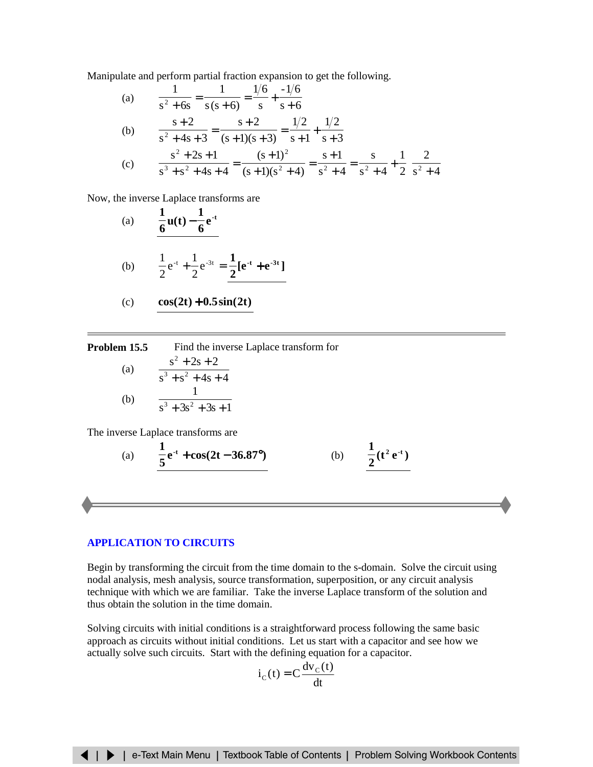<span id="page-5-0"></span>Manipulate and perform partial fraction expansion to get the following.

(a) 
$$
\frac{1}{s^2 + 6s} = \frac{1}{s(s+6)} = \frac{1/6}{s} + \frac{-1/6}{s+6}
$$
  
\n(b) 
$$
\frac{s+2}{s^2 + 4s + 3} = \frac{s+2}{(s+1)(s+3)} = \frac{1/2}{s+1} + \frac{1/2}{s+3}
$$
  
\n(c) 
$$
\frac{s^2 + 2s + 1}{s^3 + s^2 + 4s + 4} = \frac{(s+1)^2}{(s+1)(s^2 + 4)} = \frac{s+1}{s^2 + 4} = \frac{s}{s^2 + 4} + \frac{1}{2} \left(\frac{2}{s^2 + 4}\right)
$$

Now, the inverse Laplace transforms are

(a) 
$$
\frac{1}{6}
$$
u(t)  $-\frac{1}{6}$ e<sup>-t</sup>

(b) 
$$
\frac{1}{2}e^{-t} + \frac{1}{2}e^{-3t} = \frac{1}{2}[e^{-t} + e^{-3t}]
$$

$$
(c) \qquad \cos(2t) + 0.5\sin(2t)
$$

| Problem 15.5 | Find the inverse Laplace transform for |  |  |  |
|--------------|----------------------------------------|--|--|--|
|              | $s^2 + 2s + 2$                         |  |  |  |
| (a)          | $s^3 + s^2 + 4s + 4$                   |  |  |  |
|              |                                        |  |  |  |
| (b)          | $s^3 + 3s^2 + 3s + 1$                  |  |  |  |

The inverse Laplace transforms are

(a) 
$$
\frac{1}{5}e^{-t} + \cos(2t - 36.87^{\circ})
$$
 (b)  $\frac{1}{2}(t^2 e^{-t})$ 

#### **[APPLICATION TO](#page-22-0) CIRCUITS**

Begin by transforming the circuit from the time domain to the s-domain. Solve the circuit using nodal analysis, mesh analysis, source transformation, superposition, or any circuit analysis technique with which we are familiar. Take the inverse Laplace transform of the solution and thus obtain the solution in the time domain.

Solving circuits with initial conditions is a straightforward process following the same basic approach as circuits without initial conditions. Let us start with a capacitor and see how we actually solve such circuits. Start with the defining equation for a capacitor.

$$
i_{C}(t) = C \frac{dv_{C}(t)}{dt}
$$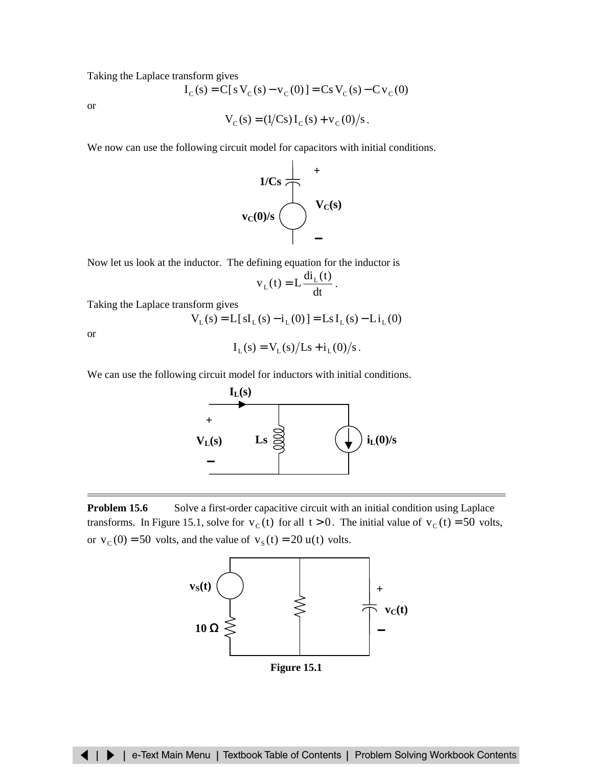Taking the Laplace transform gives

$$
I_C(s) = C[s V_C(s) - v_C(0)] = Cs V_C(s) - Cv_C(0)
$$

or

$$
V_C(s) = (1/Cs)I_C(s) + v_C(0)/s
$$
.

We now can use the following circuit model for capacitors with initial conditions.



Now let us look at the inductor. The defining equation for the inductor is

$$
v_{L}(t) = L \frac{di_{L}(t)}{dt}.
$$

Taking the Laplace transform gives

$$
V_{L}(s) = L[sI_{L}(s) - i_{L}(0)] = LsI_{L}(s) - Li_{L}(0)
$$

or

$$
I_L(s) = V_L(s)/Ls + i_L(0)/s
$$
.

We can use the following circuit model for inductors with initial conditions.



**Problem 15.6** Solve a first-order capacitive circuit with an initial condition using Laplace transforms. In Figure 15.1, solve for  $v_c(t)$  for all  $t > 0$ . The initial value of  $v_c(t) = 50$  volts, or  $v_c (0) = 50$  volts, and the value of  $v_s (t) = 20$  u(t) volts.



**Figure 15.1**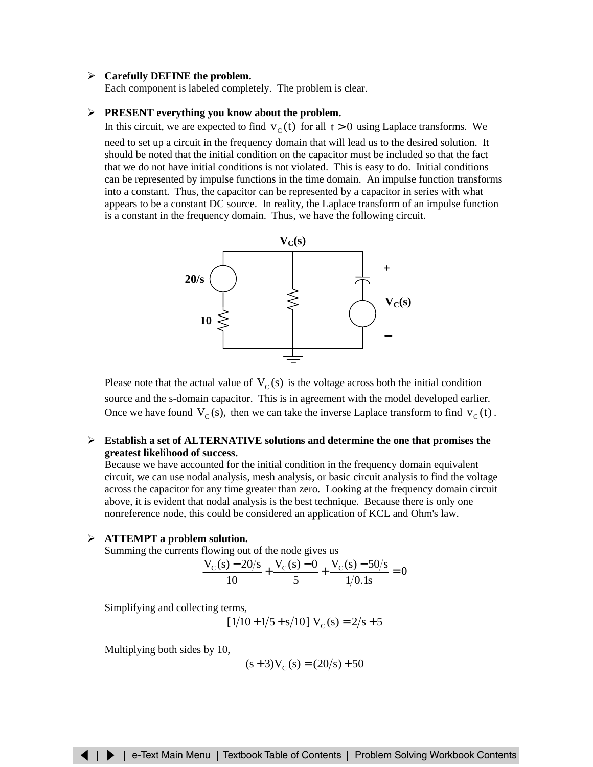# ¾ **Carefully DEFINE the problem.**

Each component is labeled completely. The problem is clear.

### ¾ **PRESENT everything you know about the problem.**

In this circuit, we are expected to find  $v_c(t)$  for all  $t > 0$  using Laplace transforms. We

need to set up a circuit in the frequency domain that will lead us to the desired solution. It should be noted that the initial condition on the capacitor must be included so that the fact that we do not have initial conditions is not violated. This is easy to do. Initial conditions can be represented by impulse functions in the time domain. An impulse function transforms into a constant. Thus, the capacitor can be represented by a capacitor in series with what appears to be a constant DC source. In reality, the Laplace transform of an impulse function is a constant in the frequency domain. Thus, we have the following circuit.



Please note that the actual value of  $V_C(s)$  is the voltage across both the initial condition source and the s-domain capacitor. This is in agreement with the model developed earlier. Once we have found  $V_c(s)$ , then we can take the inverse Laplace transform to find  $v_c(t)$ .

# ¾ **Establish a set of ALTERNATIVE solutions and determine the one that promises the greatest likelihood of success.**

Because we have accounted for the initial condition in the frequency domain equivalent circuit, we can use nodal analysis, mesh analysis, or basic circuit analysis to find the voltage across the capacitor for any time greater than zero. Looking at the frequency domain circuit above, it is evident that nodal analysis is the best technique. Because there is only one nonreference node, this could be considered an application of KCL and Ohm's law.

#### ¾ **ATTEMPT a problem solution.**

Summing the currents flowing out of the node gives us

$$
\frac{V_{C}(s) - 20/s}{10} + \frac{V_{C}(s) - 0}{5} + \frac{V_{C}(s) - 50/s}{1/0.1s} = 0
$$

Simplifying and collecting terms,

$$
[1/10 + 1/5 + s/10] V_C(s) = 2/s + 5
$$

Multiplying both sides by 10,

$$
(s+3)V_C(s) = (20/s) + 50
$$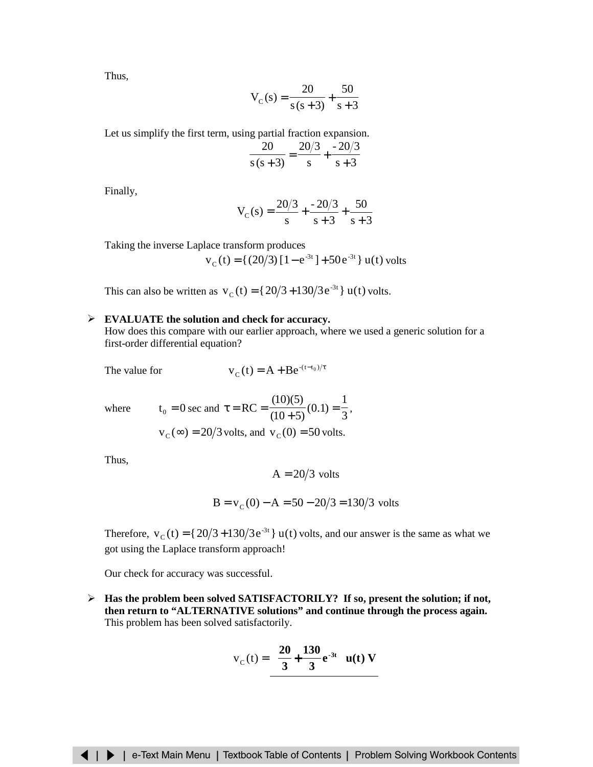Thus,

$$
V_C(s) = \frac{20}{s(s+3)} + \frac{50}{s+3}
$$

Let us simplify the first term, using partial fraction expansion.

$$
\frac{20}{s(s+3)} = \frac{20/3}{s} + \frac{-20/3}{s+3}
$$

Finally,

$$
V_C(s) = \frac{20/3}{s} + \frac{-20/3}{s+3} + \frac{50}{s+3}
$$

Taking the inverse Laplace transform produces

$$
v_c(t) = \{(20/3) [1 - e^{-3t}] + 50e^{-3t}\} u(t)
$$
 volts

This can also be written as  $v_c(t) = {20/3 + 130/3 e^{-3t}} u(t)$  volts.

### ¾ **EVALUATE the solution and check for accuracy.**

How does this compare with our earlier approach, where we used a generic solution for a first-order differential equation?

The value for

$$
v_c(t) = A + Be^{-(t-t_0)/\tau}
$$

where 
$$
t_0 = 0
$$
 sec and  $\tau = RC = \frac{(10)(5)}{(10+5)}(0.1) = \frac{1}{3}$ ,  
 $v_C(\infty) = 20/3$  volts, and  $v_C(0) = 50$  volts.

Thus,

$$
A = 20/3
$$
 volts

$$
B = v_C(0) - A = 50 - 20/3 = 130/3
$$
 volts

Therefore,  $v_c(t) = {20/3 + 130/3e^{-3t}} u(t)$  volts, and our answer is the same as what we got using the Laplace transform approach!

Our check for accuracy was successful.

¾ **Has the problem been solved SATISFACTORILY? If so, present the solution; if not, then return to "ALTERNATIVE solutions" and continue through the process again.** This problem has been solved satisfactorily.

$$
v_C(t) = \left\{\frac{20}{3} + \frac{130}{3}e^{-3t}\right\}u(t) V
$$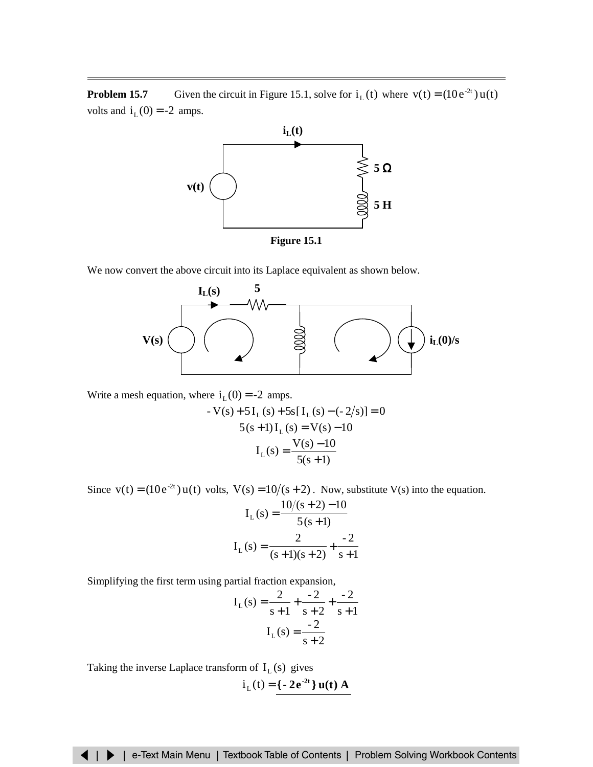**Problem 15.7** Given the circuit in Figure 15.1, solve for  $i_L(t)$  where  $v(t) = (10e^{-2t})u(t)$ volts and  $i_L(0) = -2$  amps.



**Figure 15.1**

We now convert the above circuit into its Laplace equivalent as shown below.



Write a mesh equation, where  $i_L(0) = -2$  amps.

$$
-V(s) + 5I_{L}(s) + 5s[I_{L}(s) - (-2/s)] = 0
$$
  

$$
5(s+1)I_{L}(s) = V(s) - 10
$$
  

$$
I_{L}(s) = \frac{V(s) - 10}{5(s+1)}
$$

Since  $v(t) = (10e^{-2t}) u(t)$  volts,  $V(s) = 10/(s + 2)$ . Now, substitute V(s) into the equation.

$$
I_{L}(s) = \frac{10/(s+2) - 10}{5(s+1)}
$$

$$
I_{L}(s) = \frac{2}{(s+1)(s+2)} + \frac{-2}{s+1}
$$

Simplifying the first term using partial fraction expansion,

$$
I_{L}(s) = \frac{2}{s+1} + \frac{-2}{s+2} + \frac{-2}{s+1}
$$

$$
I_{L}(s) = \frac{-2}{s+2}
$$

Taking the inverse Laplace transform of  $I_L(s)$  gives

$$
i_{L}(t) = \{-2e^{-2t}\} u(t) A
$$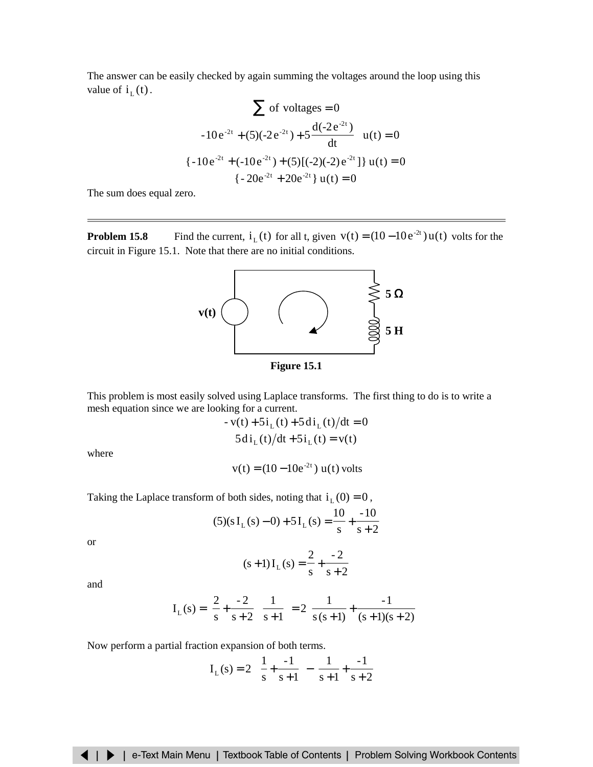The answer can be easily checked by again summing the voltages around the loop using this value of  $i_L(t)$ .

$$
\sum \text{ of voltages} = 0
$$
\n
$$
\left\{-10e^{-2t} + (5)(-2e^{-2t}) + 5\frac{d(-2e^{-2t})}{dt}\right\} u(t) = 0
$$
\n
$$
\left\{-10e^{-2t} + (-10e^{-2t}) + (5)[(-2)(-2)e^{-2t}] \right\} u(t) = 0
$$
\n
$$
\left\{-20e^{-2t} + 20e^{-2t}\right\} u(t) = 0
$$

The sum does equal zero.

**Problem 15.8** Find the current,  $i_L(t)$  for all t, given  $v(t) = (10 - 10e^{-2t}) u(t)$  volts for the circuit in Figure 15.1. Note that there are no initial conditions.



**Figure 15.1**

This problem is most easily solved using Laplace transforms. The first thing to do is to write a mesh equation since we are looking for a current.

$$
-v(t) + 5i_{L}(t) + 5di_{L}(t)/dt = 0
$$
  

$$
5di_{L}(t)/dt + 5i_{L}(t) = v(t)
$$

where

$$
v(t) = (10-10e^{-2t}) u(t)
$$
 volts

Taking the Laplace transform of both sides, noting that  $i_L(0) = 0$ ,

$$
(5)(sIL(s) – 0) + 5IL(s) = \frac{10}{s} + \frac{-10}{s+2}
$$

or

$$
(s+1)IL(s) = \frac{2}{s} + \frac{-2}{s+2}
$$

and

$$
I_{L}(s) = \left(\frac{2}{s} + \frac{-2}{s+2}\right)\left(\frac{1}{s+1}\right) = 2\left(\frac{1}{s(s+1)} + \frac{-1}{(s+1)(s+2)}\right)
$$

Now perform a partial fraction expansion of both terms.

$$
I_{L}(s) = 2\left(\left(\frac{1}{s} + \frac{-1}{s+1}\right) - \left(\frac{1}{s+1} + \frac{-1}{s+2}\right)\right)
$$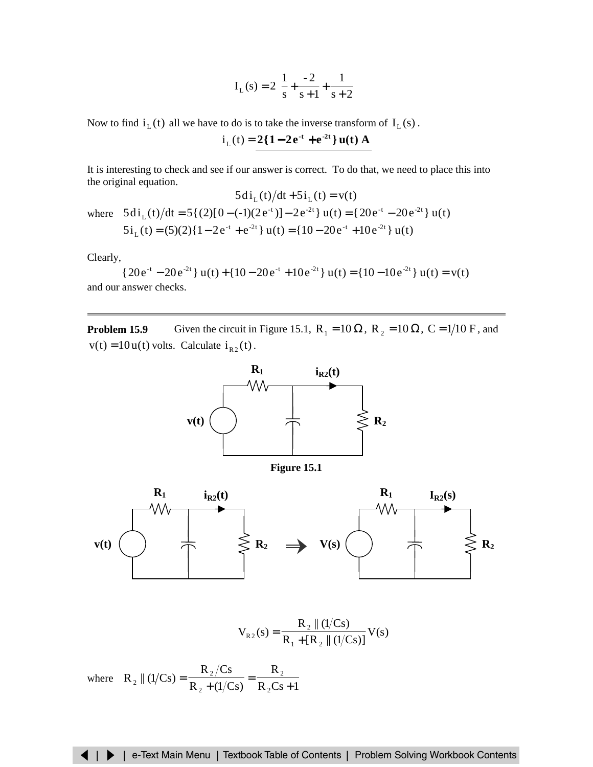$$
I_{L}(s) = 2\left(\frac{1}{s} + \frac{-2}{s+1} + \frac{1}{s+2}\right)
$$

Now to find  $i_L(t)$  all we have to do is to take the inverse transform of  $I_L(s)$ .

$$
i_{L}(t) = 2\{1 - 2e^{-t} + e^{-2t}\}u(t) A
$$

It is interesting to check and see if our answer is correct. To do that, we need to place this into the original equation.

$$
5di_{L}(t)/dt + 5i_{L}(t) = v(t)
$$

where  $5 \text{di}_{\text{L}}(t)/dt = 5{(2)[0-(-1)(2e^{-t})]} - 2e^{-2t} \text{u}(t) = {20e^{-t} - 20e^{-2t}} u(t)$  $5i_L(t) = (5)(2){1 - 2e^{-t} + e^{-2t}}$  u(t) = { $10 - 20e^{-t} + 10e^{-2t}$  } u(t)

Clearly,

 ${20e^{-t} - 20e^{-2t}} u(t) + {10 - 20e^{-t} + 10e^{-2t}} u(t) = {10 - 10e^{-2t}} u(t) = v(t)$ and our answer checks.

**Problem 15.9** Given the circuit in Figure 15.1,  $R_1 = 10 \Omega$ ,  $R_2 = 10 \Omega$ ,  $C = 1/10$  F, and  $v(t) = 10 u(t)$  volts. Calculate  $i_{R_2}(t)$ .



**Figure 15.1**



$$
V_{R2}(s) = \frac{R_2 || (1/Cs)}{R_1 + [R_2 || (1/Cs)]} V(s)
$$

where  $R_2 || (1/Cs) = \frac{27}{R_2 + (1/Cs)} = \frac{2}{R_2CS + 1}$ R  $R_2 + (1/Cs)$  $R_{\tiny 2}/Cs$  $R_2 || (1/Cs)$ 2 2 2  $_{2}$  || (1/Cs) =  $\frac{R_{2}/Cs}{R_{2} + (1/Cs)} = \frac{R_{2}}{R_{2}Cs}$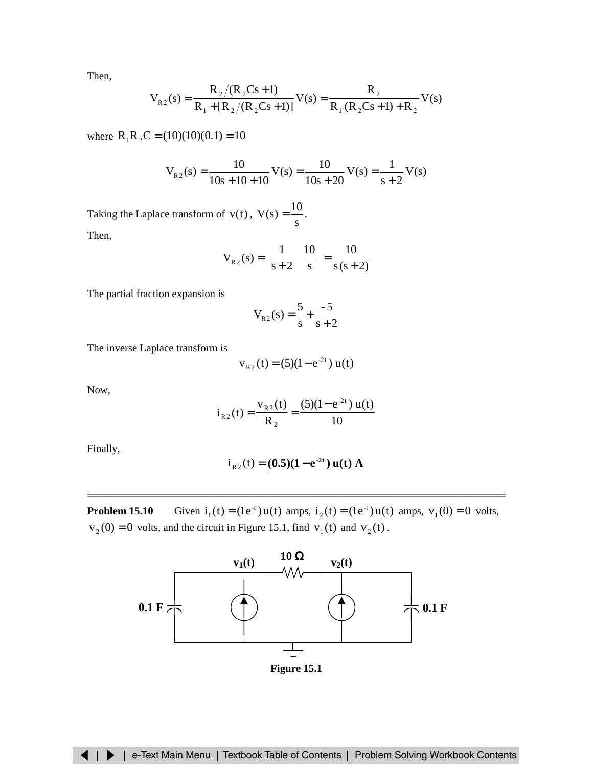Then,

$$
V_{R2}(s) = \frac{R_2/(R_2Cs+1)}{R_1 + [R_2/(R_2Cs+1)]} V(s) = \frac{R_2}{R_1 (R_2Cs+1) + R_2} V(s)
$$

where  $R_1R_2C = (10)(10)(0.1) = 10$ 

$$
V_{R2}(s) = \frac{10}{10s + 10 + 10} V(s) = \frac{10}{10s + 20} V(s) = \frac{1}{s + 2} V(s)
$$

Taking the Laplace transform of  $v(t)$ ,  $V(s) = \frac{10}{s}$ . Then,

$$
V_{R2}(s) = \left[\frac{1}{s+2}\right] \left[\frac{10}{s}\right] = \frac{10}{s(s+2)}
$$

The partial fraction expansion is

$$
V_{R2}(s) = \frac{5}{s} + \frac{-5}{s+2}
$$

The inverse Laplace transform is

$$
v_{R2}(t) = (5)(1 - e^{-2t}) u(t)
$$

Now,

$$
i_{R2}(t) = \frac{v_{R2}(t)}{R_2} = \frac{(5)(1 - e^{-2t}) u(t)}{10}
$$

Finally,

$$
i_{R2}(t) = (0.5)(1 - e^{-2t}) u(t) A
$$

**Problem 15.10** Given  $i_1(t) = (1e^{-t})u(t)$  amps,  $i_2(t) = (1e^{-t})u(t)$  amps,  $v_1(0) = 0$  volts,  $v_2(0) = 0$  volts, and the circuit in Figure 15.1, find  $v_1(t)$  and  $v_2(t)$ .



**Figure 15.1**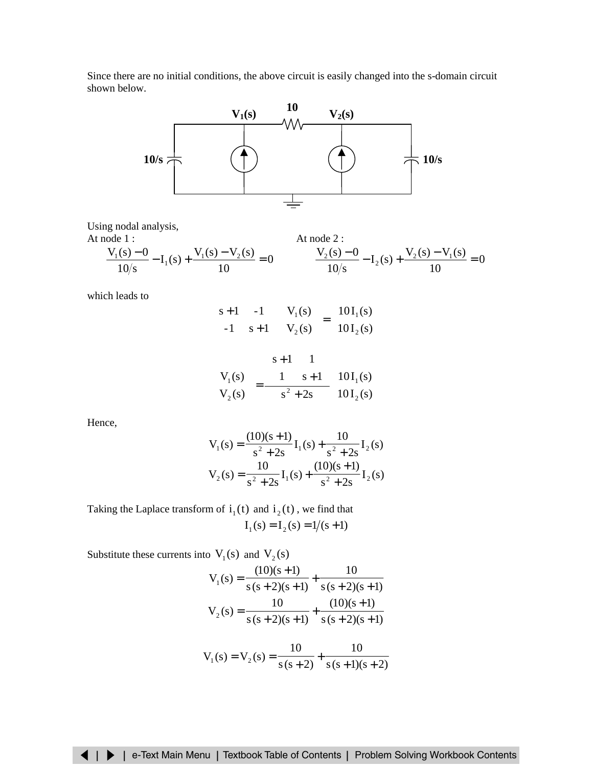Since there are no initial conditions, the above circuit is easily changed into the s-domain circuit shown below.



Using nodal analysis,

At node 1 :  
\n
$$
\frac{V_1(s) - 0}{10/s} - I_1(s) + \frac{V_1(s) - V_2(s)}{10} = 0
$$
\nAt node 2 :  
\n
$$
\frac{V_2(s) - 0}{10/s} - I_2(s) + \frac{V_2(s) - V_1(s)}{10} = 0
$$

which leads to

$$
\begin{bmatrix} s+1 & -1 \ -1 & s+1 \end{bmatrix} \begin{bmatrix} V_1(s) \\ V_2(s) \end{bmatrix} = \begin{bmatrix} 10I_1(s) \\ 10I_2(s) \end{bmatrix}
$$

$$
\begin{bmatrix} V_1(s) \\ V_2(s) \end{bmatrix} = \frac{\begin{bmatrix} s+1 & 1 \\ 1 & s+1 \end{bmatrix}}{s^2 + 2s} \begin{bmatrix} 10I_1(s) \\ 10I_2(s) \end{bmatrix}
$$

Hence,

$$
V_1(s) = \frac{(10)(s+1)}{s^2 + 2s} I_1(s) + \frac{10}{s^2 + 2s} I_2(s)
$$
  

$$
V_2(s) = \frac{10}{s^2 + 2s} I_1(s) + \frac{(10)(s+1)}{s^2 + 2s} I_2(s)
$$

Taking the Laplace transform of  $i_1(t)$  and  $i_2(t)$ , we find that  $I_1(s) = I_2(s) = 1/(s + 1)$ 

Substitute these currents into  $V_1(s)$  and  $V_2(s)$ 

$$
V_1(s) = \frac{(10)(s+1)}{s(s+2)(s+1)} + \frac{10}{s(s+2)(s+1)}
$$
  

$$
V_2(s) = \frac{10}{s(s+2)(s+1)} + \frac{(10)(s+1)}{s(s+2)(s+1)}
$$

$$
V_1(s) = V_2(s) = \frac{1}{s(s+2)} + \frac{1}{s(s+1)(s+2)}
$$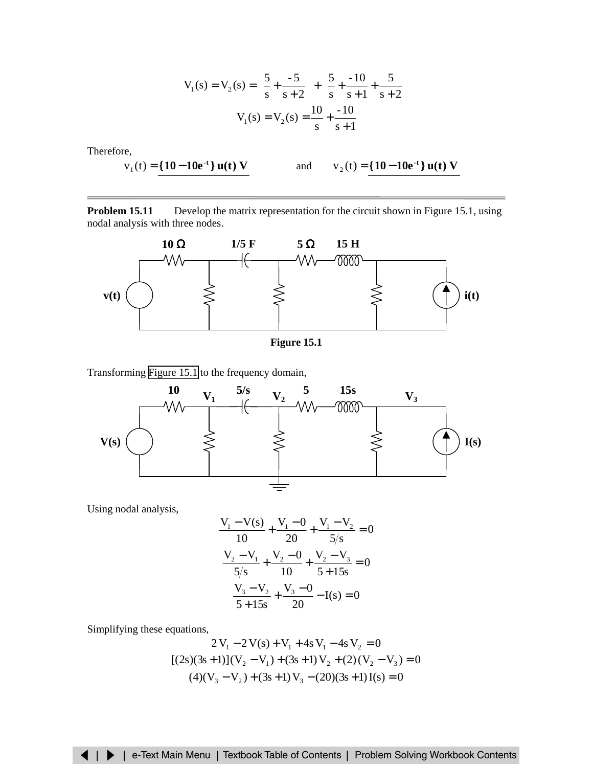$$
V_1(s) = V_2(s) = \left(\frac{5}{s} + \frac{-5}{s+2}\right) + \left(\frac{5}{s} + \frac{-10}{s+1} + \frac{5}{s+2}\right)
$$

$$
V_1(s) = V_2(s) = \frac{10}{s} + \frac{-10}{s+1}
$$

Therefore,

$$
v_1(t) = \{10 - 10e^{-t}\} u(t) V
$$

and  $v_2(t) = \{10 - 10e^{-t}\}$  **u**(t) **V** 

**Problem 15.11** Develop the matrix representation for the circuit shown in Figure 15.1, using nodal analysis with three nodes.



**Figure 15.1**

Transforming Figure 15.1 to the frequency domain,



Using nodal analysis,

$$
\frac{V_1 - V(s)}{10} + \frac{V_1 - 0}{20} + \frac{V_1 - V_2}{5/s} = 0
$$
  

$$
\frac{V_2 - V_1}{5/s} + \frac{V_2 - 0}{10} + \frac{V_2 - V_3}{5 + 15s} = 0
$$
  

$$
\frac{V_3 - V_2}{5 + 15s} + \frac{V_3 - 0}{20} - I(s) = 0
$$

Simplifying these equations,

$$
2V_1 - 2V(s) + V_1 + 4sV_1 - 4sV_2 = 0
$$
  
[(2s)(3s+1)](V<sub>2</sub> - V<sub>1</sub>) + (3s+1)V<sub>2</sub> + (2)(V<sub>2</sub> - V<sub>3</sub>) = 0  
(4)(V<sub>3</sub> - V<sub>2</sub>) + (3s+1)V<sub>3</sub> - (20)(3s+1)I(s) = 0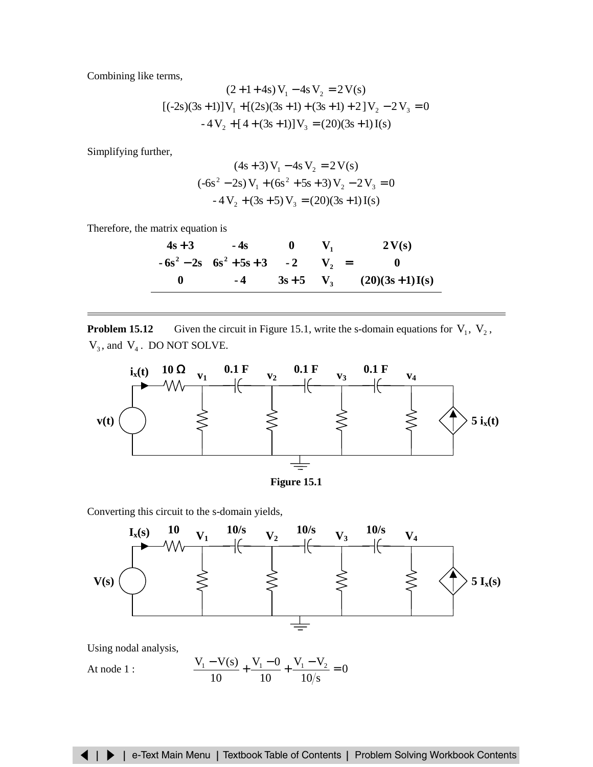<span id="page-15-0"></span>Combining like terms,

$$
(2+1+4s) V1 - 4s V2 = 2 V(s)
$$
  
[(-2s)(3s + 1)] V<sub>1</sub> + [(2s)(3s + 1) + (3s + 1) + 2] V<sub>2</sub> - 2 V<sub>3</sub> = 0  
-4 V<sub>2</sub> + [4 + (3s + 1)] V<sub>3</sub> = (20)(3s + 1) I(s)

Simplifying further,

$$
(4s + 3) V1 - 4s V2 = 2 V(s)
$$
  
(-6s<sup>2</sup> – 2s) V<sub>1</sub> + (6s<sup>2</sup> + 5s + 3) V<sub>2</sub> – 2 V<sub>3</sub> = 0  
-4 V<sub>2</sub> + (3s + 5) V<sub>3</sub> = (20)(3s + 1) I(s)

Therefore, the matrix equation is

$$
\begin{bmatrix} 4s+3 & -4s & 0 \ -6s^2 - 2s & 6s^2 + 5s + 3 & -2 \ 0 & -4 & 3s + 5 \end{bmatrix} \begin{bmatrix} V_1 \\ V_2 \\ V_3 \end{bmatrix} = \begin{bmatrix} 2V(s) \\ 0 \\ (20)(3s+1)I(s) \end{bmatrix}
$$

**Problem 15.12** Given the circuit in Figure 15.1, write the s-domain equations for  $V_1$ ,  $V_2$ ,  $V_3$ , and  $V_4$ . DO NOT SOLVE.





Converting this circuit to the s-domain yields,



Using nodal analysis,

At node 1 : 
$$
\frac{V_1 - V(s)}{10} + \frac{V_1 - 0}{10} + \frac{V_1 - V_2}{10/s} = 0
$$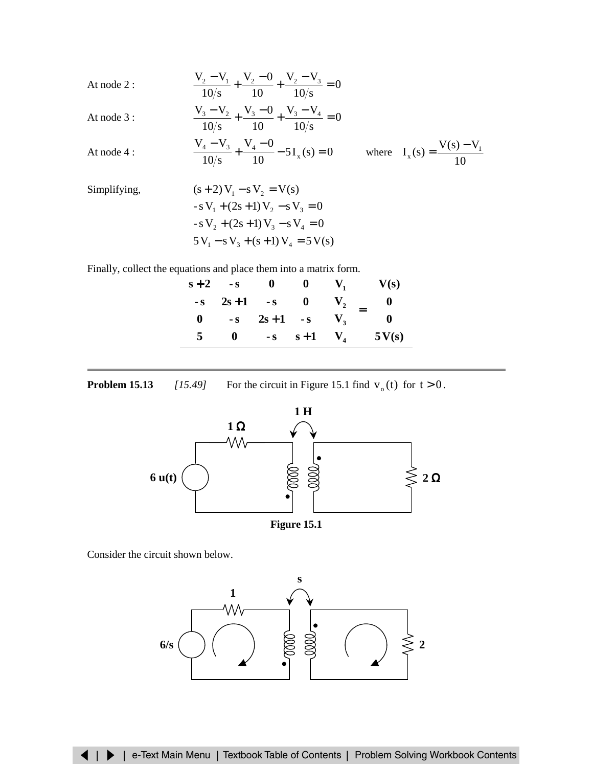At node 2 :  
\n
$$
\frac{V_2 - V_1}{10/s} + \frac{V_2 - 0}{10} + \frac{V_2 - V_3}{10/s} = 0
$$
\nAt node 3 :  
\n
$$
\frac{V_3 - V_2}{10/s} + \frac{V_3 - 0}{10} + \frac{V_3 - V_4}{10/s} = 0
$$
\nAt node 4 :  
\n
$$
\frac{V_4 - V_3}{10/s} + \frac{V_4 - 0}{10} - 5I_x(s) = 0
$$
 where  $I_x(s) = \frac{V(s) - V_1}{10}$ 

Simplifying,  
\n
$$
(s+2) V_1 - s V_2 = V(s)
$$
\n
$$
-s V_1 + (2s+1) V_2 - s V_3 = 0
$$
\n
$$
-s V_2 + (2s+1) V_3 - s V_4 = 0
$$
\n
$$
5 V_1 - s V_3 + (s+1) V_4 = 5 V(s)
$$

Finally, collect the equations and place them into a matrix form.

| $\lceil s+2 \rceil$ | $-S$     |  |  |                                                                                                                                                                                                             |  |
|---------------------|----------|--|--|-------------------------------------------------------------------------------------------------------------------------------------------------------------------------------------------------------------|--|
| $-S$                | $2s + 1$ |  |  |                                                                                                                                                                                                             |  |
|                     |          |  |  |                                                                                                                                                                                                             |  |
|                     |          |  |  | $\begin{bmatrix} -s & 0 & 0 \\ s+1 & -s & 0 \\ -s & 2s+1 & -s \\ 0 & -s & s+1 \end{bmatrix} \begin{bmatrix} V_1 \\ V_2 \\ V_3 \\ V_4 \end{bmatrix} = \begin{bmatrix} V(s) \\ 0 \\ 0 \\ 5V(s) \end{bmatrix}$ |  |

**Problem 15.13** *[15.49]* For the circuit in Figure 15.1 find  $v_0(t)$  for  $t > 0$ .



Consider the circuit shown below.

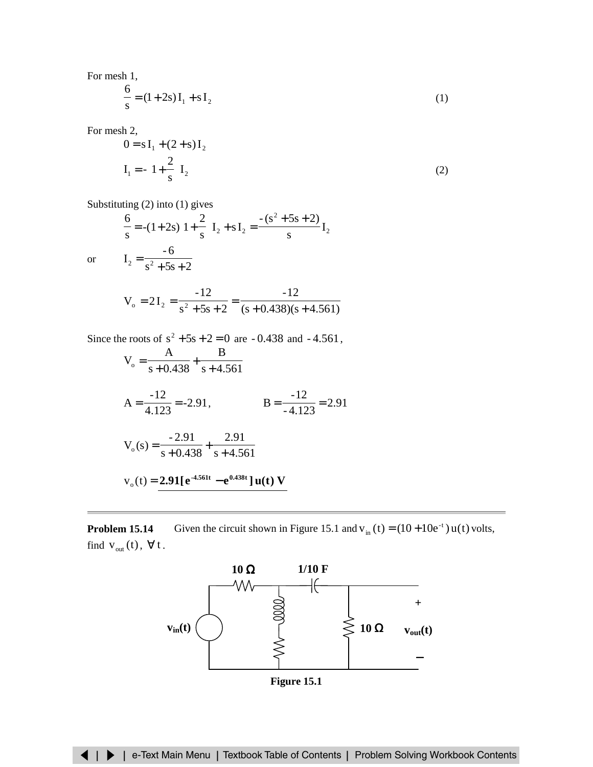For mesh 1,

$$
\frac{6}{s} = (1+2s)I_1 + sI_2
$$
 (1)

For mesh 2,

$$
0 = s I_1 + (2 + s) I_2
$$
  
\n
$$
I_1 = -\left(1 + \frac{2}{s}\right) I_2
$$
\n(2)

Substituting (2) into (1) gives

 $s^2 + 5s + 2$ 

$$
\frac{6}{s} = -(1+2s)\left(1+\frac{2}{s}\right)I_2 + sI_2 = \frac{-(s^2+5s+2)}{s}I_2
$$
  

$$
I_2 = \frac{-6}{s^2+5s+2}
$$

or

$$
V_o = 2I_2 = \frac{-12}{s^2 + 5s + 2} = \frac{-12}{(s + 0.438)(s + 4.561)}
$$

Since the roots of  $s^2 + 5s + 2 = 0$  are  $-0.438$  and  $-4.561$ ,

$$
V_o = \frac{A}{s + 0.438} + \frac{B}{s + 4.561}
$$
  
\n
$$
A = \frac{-12}{4.123} = -2.91,
$$
  
\n
$$
B = \frac{-12}{-4.123} = 2.91
$$
  
\n
$$
V_o(s) = \frac{-2.91}{s + 0.438} + \frac{2.91}{s + 4.561}
$$
  
\n
$$
v_o(t) = \frac{2.91[e^{4.561t} - e^{0.438t}]u(t) V}{s + 0.438t}
$$

**Problem 15.14** Given the circuit shown in Figure 15.1 and  $v_{in}(t) = (10 + 10e^{-t}) u(t)$  volts, find  $v_{out}(t)$ ,  $\forall t$ .



**Figure 15.1**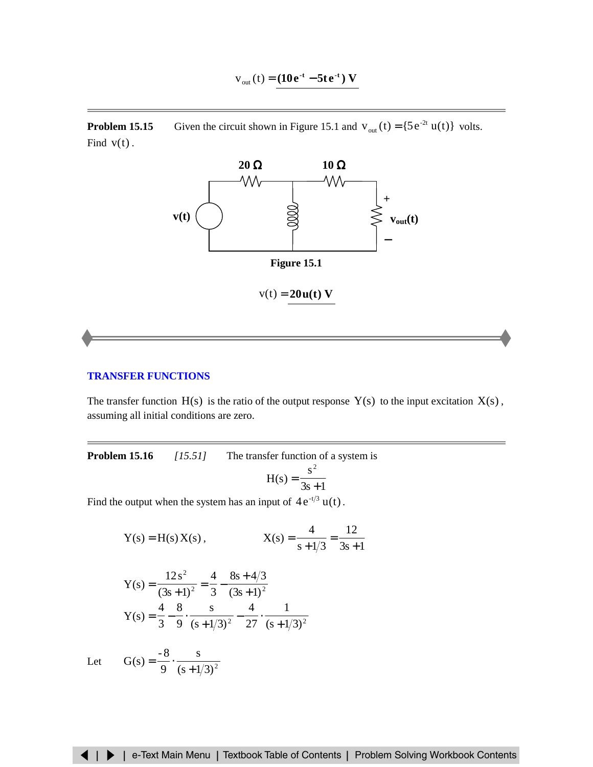$$
v_{\text{out}}(t) = (10e^{-t} - 5te^{-t}) V
$$

<span id="page-18-0"></span>**Problem 15.15** Given the circuit shown in Figure 15.1 and  $v_{out}(t) = {5e^{-2t} u(t)}$  volts. Find  $v(t)$ .



 $v(t) = 20u(t) V$ 

# **[TRANSFER FUNCTIONS](#page-28-0)**

The transfer function  $H(s)$  is the ratio of the output response  $Y(s)$  to the input excitation  $X(s)$ , assuming all initial conditions are zero.

**Problem 15.16** *[15.51]* The transfer function of a system is  $s^2$ 

$$
H(s) = \frac{s}{3s+1}
$$

Find the output when the system has an input of  $4e^{-t/3}u(t)$ .

Y(s) = H(s) X(s),  
\n
$$
X(s) = \frac{4}{s + 1/3} = \frac{12}{3s + 1}
$$
\n
$$
12s2 \qquad 4 \qquad 8s + 4/3
$$

Y(s) = 
$$
\frac{12 s^2}{(3s+1)^2} = \frac{4}{3} - \frac{8s+4/3}{(3s+1)^2}
$$
  
Y(s) =  $\frac{4}{3} - \frac{8}{9} \cdot \frac{s}{(s+1/3)^2} - \frac{4}{27} \cdot \frac{1}{(s+1/3)^2}$ 

s

9 8-  $G(s) = \frac{0}{9} \cdot \frac{1}{(s+1)^2}$ 

Let  $G(s) = \frac{ }{9} \cdot \frac{ }{(s+1/3)^2}$ 

◀ | ▶ | e-Text Main Menu | Textbook Table of Contents | Problem Solving Workbook Contents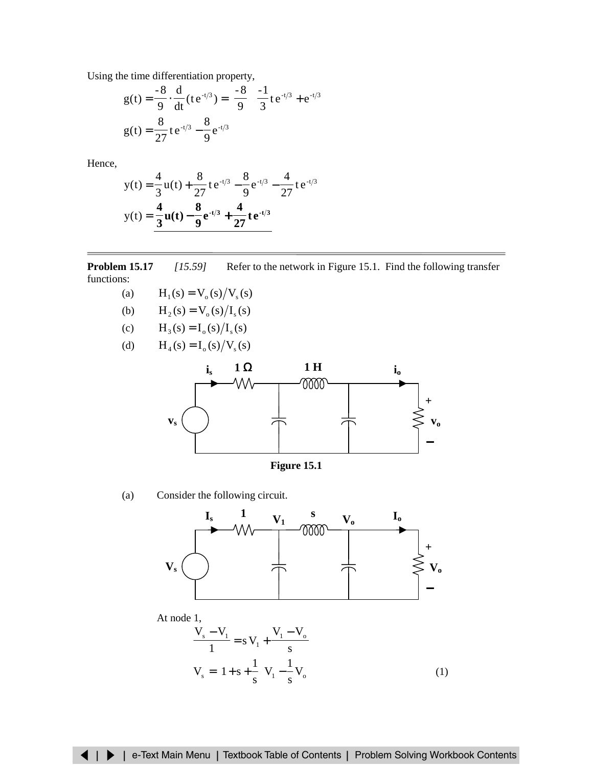Using the time differentiation property,

$$
g(t) = \frac{-8}{9} \cdot \frac{d}{dt} (te^{-t/3}) = \left(\frac{-8}{9}\right) \left(\frac{-1}{3}te^{-t/3} + e^{-t/3}\right)
$$

$$
g(t) = \frac{8}{27}te^{-t/3} - \frac{8}{9}e^{-t/3}
$$

Hence,

$$
y(t) = \frac{4}{3}u(t) + \frac{8}{27}te^{-t/3} - \frac{8}{9}e^{-t/3} - \frac{4}{27}te^{-t/3}
$$

$$
y(t) = \frac{4}{3}u(t) - \frac{8}{9}e^{-t/3} + \frac{4}{27}te^{-t/3}
$$

**Problem 15.17** *[15.59]* Refer to the network in Figure 15.1. Find the following transfer functions:

- (a)  $H_1(s) = V_0(s)/V_s(s)$
- (b)  $H_2(s) = V_0(s)/I_s(s)$
- (c)  $H_3(s) = I_0(s)/I_s(s)$
- (d)  $H_4(s) = I_0(s)/V_s(s)$



**Figure 15.1**

(a) Consider the following circuit.



At node 1,

$$
\frac{V_s - V_l}{1} = s V_l + \frac{V_l - V_o}{s}
$$
  

$$
V_s = \left(1 + s + \frac{1}{s}\right) V_l - \frac{1}{s} V_o
$$
 (1)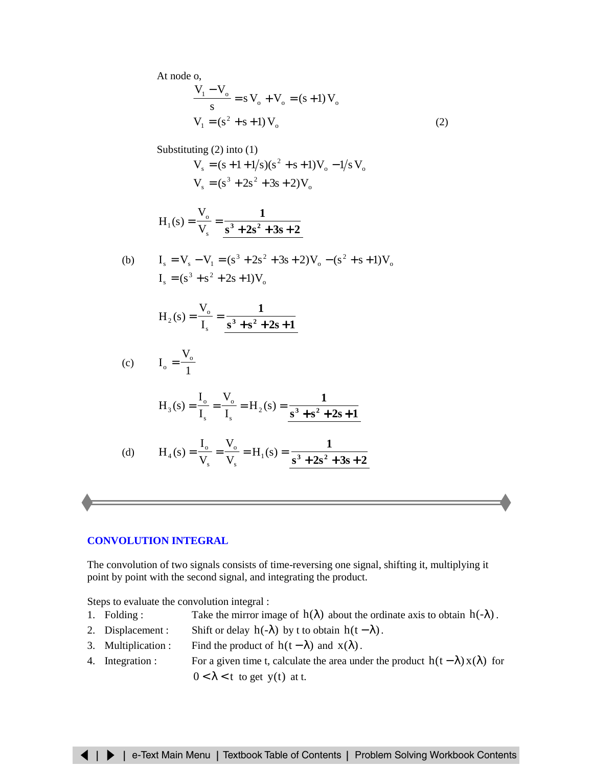<span id="page-20-0"></span>At node o,

$$
\frac{V_1 - V_o}{s} = s V_o + V_o = (s + 1) V_o
$$
  
\n
$$
V_1 = (s^2 + s + 1) V_o
$$
 (2)

Substituting (2) into (1)  
\n
$$
V_s = (s + 1 + 1/s)(s^2 + s + 1)V_o - 1/s V_o
$$
\n
$$
V_s = (s^3 + 2s^2 + 3s + 2)V_o
$$

$$
H_1(s) = \frac{V_o}{V_s} = \frac{1}{s^3 + 2s^2 + 3s + 2}
$$

(b) 
$$
I_s = V_s - V_1 = (s^3 + 2s^2 + 3s + 2)V_o - (s^2 + s + 1)V_o
$$

$$
I_s = (s^3 + s^2 + 2s + 1)V_o
$$

$$
H_2(s) = \frac{V_o}{I_s} = \frac{1}{s^3 + s^2 + 2s + 1}
$$

$$
\text{(c)} \qquad \mathbf{I}_{\text{o}} = \frac{\mathbf{V}_{\text{o}}}{1}
$$

$$
H_3(s) = \frac{I_o}{I_s} = \frac{V_o}{I_s} = H_2(s) = \frac{1}{s^3 + s^2 + 2s + 1}
$$

(d) 
$$
H_4(s) = \frac{I_o}{V_s} = \frac{V_o}{V_s} = H_1(s) = \frac{1}{s^3 + 2s^2 + 3s + 2}
$$

# **[CONVOLUTION INTEGRAL](#page-33-0)**

The convolution of two signals consists of time-reversing one signal, shifting it, multiplying it point by point with the second signal, and integrating the product.

Steps to evaluate the convolution integral :

- 1. Folding : Take the mirror image of  $h(\lambda)$  about the ordinate axis to obtain  $h(-\lambda)$ .
- 2. Displacement : Shift or delay  $h(-\lambda)$  by t to obtain  $h(t \lambda)$ .
- 3. Multiplication : Find the product of  $h(t \lambda)$  and  $x(\lambda)$ .
- 4. Integration : For a given time t, calculate the area under the product  $h(t-\lambda)x(\lambda)$  for  $0 < \lambda < t$  to get y(t) at t.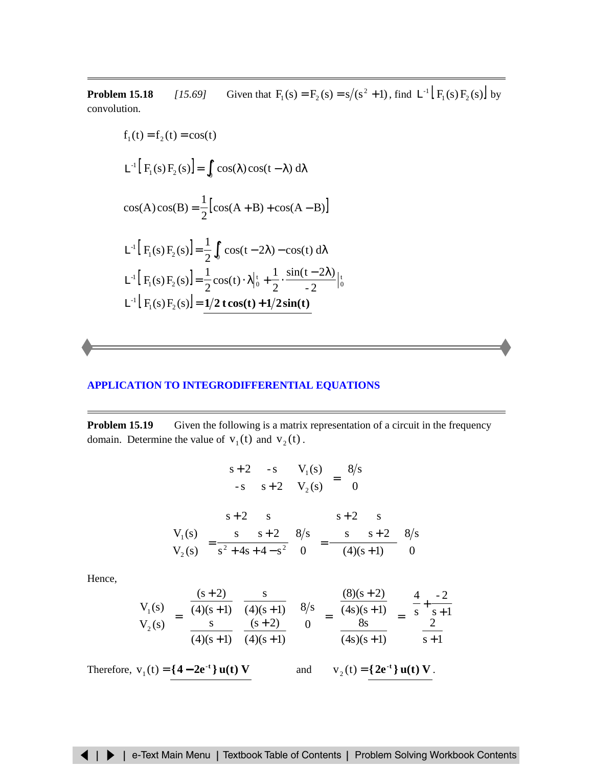<span id="page-21-0"></span>**Problem 15.18** *[15.69]* Given that  $F_1(s) = F_2(s) = s/(s^2 + 1)$ , find  $L^{-1}[F_1(s)F_2(s)]$  by convolution.

$$
f_1(t) = f_2(t) = \cos(t)
$$
  
\n
$$
L^{-1} [F_1(s) F_2(s)] = \int_0^t \cos(\lambda) \cos(t - \lambda) d\lambda
$$
  
\n
$$
\cos(A) \cos(B) = \frac{1}{2} [\cos(A + B) + \cos(A - B)]
$$
  
\n
$$
L^{-1} [F_1(s) F_2(s)] = \frac{1}{2} \int_0^t \cos(t - 2\lambda) - \cos(t) d\lambda
$$
  
\n
$$
L^{-1} [F_1(s) F_2(s)] = \frac{1}{2} \cos(t) \cdot \lambda \Big|_0^t + \frac{1}{2} \cdot \frac{\sin(t - 2\lambda)}{-2} \Big|_0^t
$$
  
\n
$$
L^{-1} [F_1(s) F_2(s)] = \frac{1}{2} \cdot \frac{1}{2} \cdot \frac{\sin(t - 2\lambda)}{-2} \Big|_0^t
$$

### **APPLICATION TO [INTEGRODIFFERENTIAL EQUATIONS](#page-41-0)**

**Problem 15.19** Given the following is a matrix representation of a circuit in the frequency domain. Determine the value of  $v_1(t)$  and  $v_2(t)$ .

$$
\begin{bmatrix} s+2 & -s \ -s & s+2 \end{bmatrix} \begin{bmatrix} V_1(s) \\ V_2(s) \end{bmatrix} = \begin{bmatrix} 8/s \\ 0 \end{bmatrix}
$$

$$
\begin{bmatrix} V_1(s) \\ V_2(s) \end{bmatrix} = \frac{\begin{bmatrix} s+2 & s \ s & s+2 \end{bmatrix}}{s^2 + 4s + 4 - s^2} \begin{bmatrix} 8/s \\ 0 \end{bmatrix} = \frac{\begin{bmatrix} s+2 & s \ s & s+2 \end{bmatrix}}{(4)(s+1)} \begin{bmatrix} 8/s \\ 0 \end{bmatrix}
$$

Hence,

$$
\begin{bmatrix} V_1(s) \\ V_2(s) \end{bmatrix} = \begin{bmatrix} \frac{(s+2)}{(4)(s+1)} & \frac{s}{(4)(s+1)} \\ \frac{s}{(4)(s+1)} & \frac{(s+2)}{(4)(s+1)} \end{bmatrix} \begin{bmatrix} 8/s \\ 0 \end{bmatrix} = \begin{bmatrix} \frac{(8)(s+2)}{(4s)(s+1)} \\ \frac{8s}{(4s)(s+1)} \end{bmatrix} = \begin{bmatrix} \frac{4}{s} + \frac{-2}{s+1} \\ \frac{2}{s+1} \end{bmatrix}
$$

Therefore,  $v_1(t) = \{4 - 2e^{-t}\}u(t) V$  and  $v_2(t) = \{2e^{-t}\}u(t) V$ .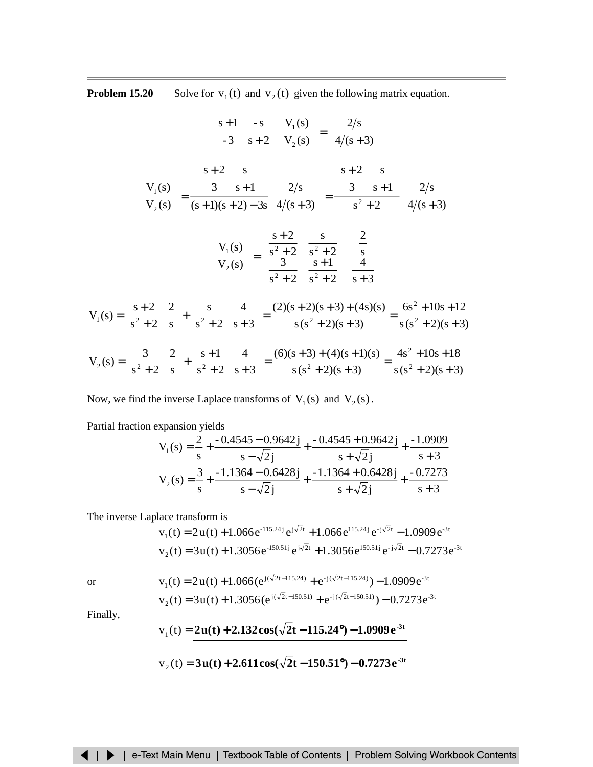<span id="page-22-0"></span>**Problem 15.20** Solve for  $v_1(t)$  and  $v_2(t)$  given the following matrix equation.

$$
\begin{bmatrix}\ns+1 & -s \\
-3 & s+2\n\end{bmatrix}\n\begin{bmatrix}\nV_1(s) \\
V_2(s)\n\end{bmatrix} = \begin{bmatrix}\n2/s \\
4/(s+3)\n\end{bmatrix}
$$
\n
$$
\begin{bmatrix}\nV_1(s) \\
V_2(s)\n\end{bmatrix} = \frac{\begin{bmatrix}\ns+2 & s \\
3 & s+1\n\end{bmatrix}}{(s+1)(s+2)-3s}\n\begin{bmatrix}\n2/s \\
4/(s+3)\n\end{bmatrix} = \frac{\begin{bmatrix}\ns+2 & s \\
3 & s+1\n\end{bmatrix}}{s^2+2}\n\begin{bmatrix}\n2/s \\
4/(s+3)\n\end{bmatrix}
$$
\n
$$
\begin{bmatrix}\nV_1(s) \\
V_2(s)\n\end{bmatrix} = \begin{bmatrix}\n\frac{s+2}{s^2+2} & \frac{s}{s^2+2} \\
\frac{3}{s^2+2} & \frac{s+1}{s^2+2}\n\end{bmatrix}\n\begin{bmatrix}\n2 \\
s \\
s+3\n\end{bmatrix}
$$
\n
$$
V_1(s) = \left(\frac{s+2}{s^2+2}\right)\left(\frac{2}{s}\right) + \left(\frac{s}{s^2+2}\right)\left(\frac{4}{s+3}\right) = \frac{(2)(s+2)(s+3) + (4s)(s)}{s(s^2+2)(s+3)} = \frac{6s^2 + 10s + 12}{s(s^2+2)(s+3)}
$$
\n
$$
V_2(s) = \left(\frac{3}{s^2+2}\right)\left(\frac{2}{s}\right) + \left(\frac{s+1}{s^2+2}\right)\left(\frac{4}{s+3}\right) = \frac{(6)(s+3) + (4)(s+1)(s)}{s(s^2+2)(s+3)} = \frac{4s^2 + 10s + 18}{s(s^2+2)(s+3)}
$$

Now, we find the inverse Laplace transforms of  $V_1(s)$  and  $V_2(s)$ .

Partial fraction expansion yields

$$
V_1(s) = \frac{2}{s} + \frac{-0.4545 - 0.9642j}{s - \sqrt{2}j} + \frac{-0.4545 + 0.9642j}{s + \sqrt{2}j} + \frac{-1.0909}{s + 3}
$$
  

$$
V_2(s) = \frac{3}{s} + \frac{-1.1364 - 0.6428j}{s - \sqrt{2}j} + \frac{-1.1364 + 0.6428j}{s + \sqrt{2}j} + \frac{-0.7273}{s + 3}
$$

The inverse Laplace transform is

$$
v_1(t) = 2u(t) + 1.066e^{-115.24j}e^{j\sqrt{2}t} + 1.066e^{115.24j}e^{-j\sqrt{2}t} - 1.0909e^{-3t}
$$
  

$$
v_2(t) = 3u(t) + 1.3056e^{-150.51j}e^{j\sqrt{2}t} + 1.3056e^{150.51j}e^{-j\sqrt{2}t} - 0.7273e^{-3t}
$$

or  
\n
$$
v_1(t) = 2u(t) + 1.066(e^{j(\sqrt{2}t - 115.24)} + e^{-j(\sqrt{2}t - 115.24)}) - 1.0909e^{-3t}
$$
\n
$$
v_2(t) = 3u(t) + 1.3056(e^{j(\sqrt{2}t - 150.51)} + e^{-j(\sqrt{2}t - 150.51)}) - 0.7273e^{-3t}
$$

Finally,

$$
v_1(t) = 2u(t) + 2.132\cos(\sqrt{2t} - 115.24^{\circ}) - 1.0909e^{-3t}
$$

$$
v_2(t) = 3u(t) + 2.611\cos(\sqrt{2}t - 150.51^{\circ}) - 0.7273e^{3t}
$$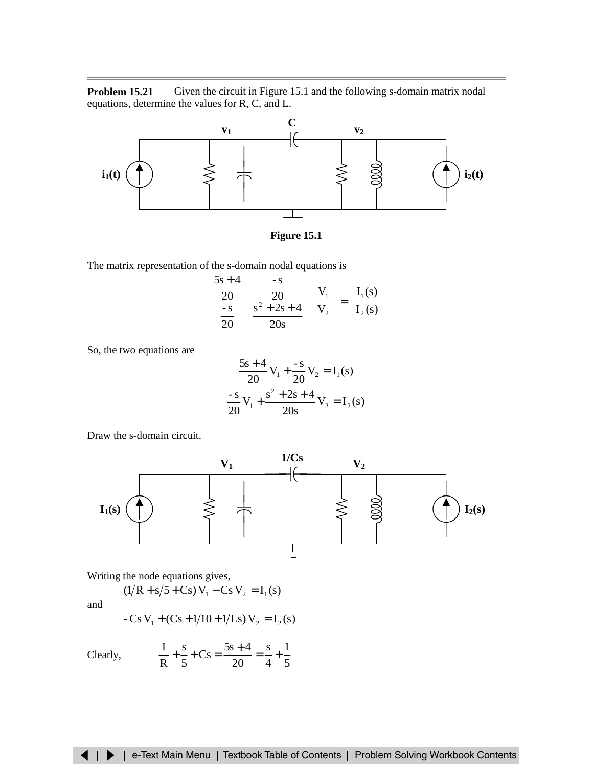**Problem 15.21** Given the circuit in Figure 15.1 and the following s-domain matrix nodal equations, determine the values for R, C, and L.



**Figure 15.1**

The matrix representation of the s-domain nodal equations is

$$
\begin{bmatrix} 5s+4 & -s \ 20 & 20 \ -s & s^2+2s+4 \ 20 & 20s \end{bmatrix} \begin{bmatrix} V_1 \\ V_2 \end{bmatrix} = \begin{bmatrix} I_1(s) \\ I_2(s) \end{bmatrix}
$$

So, the two equations are

$$
\frac{5s+4}{20}V_1 + \frac{-s}{20}V_2 = I_1(s)
$$

$$
\frac{-s}{20}V_1 + \frac{s^2 + 2s + 4}{20s}V_2 = I_2(s)
$$

Draw the s-domain circuit.



Writing the node equations gives,

$$
(1/R + s/5 + Cs)V_1 - CsV_2 = I_1(s)
$$

and

$$
-Cs V1 + (Cs + 1/10 + 1/Ls) V2 = I2(s)
$$

Clearly,  $\frac{1}{R} + \frac{5}{5} + \text{Cs} = \frac{55 + 1}{20} = \frac{5}{4} + \frac{1}{5}$ 1 4 s 20  $Cs = \frac{5s + 4}{2s}$ 5 s R  $\frac{1}{2} + \frac{s}{7} + Cs = \frac{5s + 4}{20} = \frac{s}{4} +$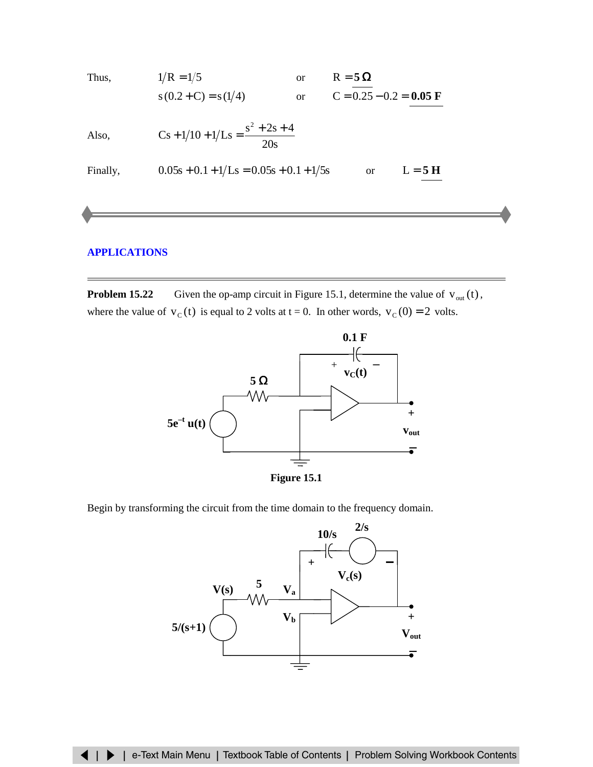<span id="page-24-0"></span>Thus,  $1/R = 1/5$  or  $R = 5 \Omega$  $s(0.2+C) = s(1/4)$  or  $C = 0.25 - 0.2 = 0.05$  F

Also, 
$$
Cs + 1/10 + 1/Ls = \frac{s^2 + 2s + 4}{20s}
$$

Finally, 
$$
0.05s + 0.1 + 1/Ls = 0.05s + 0.1 + 1/5s
$$
 or  $L = 5 H$ 

# **[APPLICATIONS](#page-43-0)**

**Problem 15.22** Given the op-amp circuit in Figure 15.1, determine the value of  $v_{out}(t)$ , where the value of  $v_c(t)$  is equal to 2 volts at t = 0. In other words,  $v_c(0) = 2$  volts.





Begin by transforming the circuit from the time domain to the frequency domain.

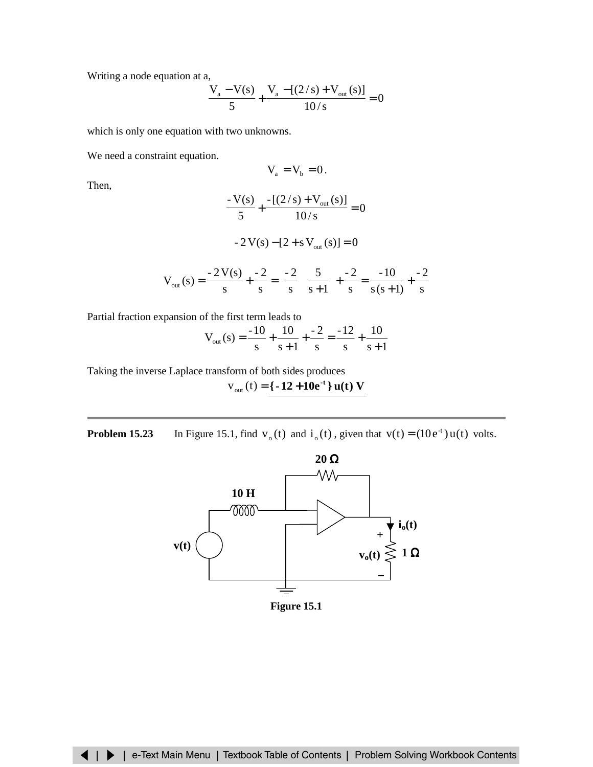Writing a node equation at a,

$$
\frac{V_a - V(s)}{5} + \frac{V_a - [(2/s) + V_{out}(s)]}{10/s} = 0
$$

which is only one equation with two unknowns.

We need a constraint equation.

$$
V_a = V_b = 0.
$$

Then,

$$
\frac{-V(s)}{5} + \frac{-[(2/s) + V_{out}(s)]}{10/s} = 0
$$

$$
-2\,\mathrm{V(s)} - [2 + s\,\mathrm{V_{out}(s)}] = 0
$$

$$
V_{out}(s) = \frac{-2V(s)}{s} + \frac{-2}{s} = \left(\frac{-2}{s}\right)\left(\frac{5}{s+1}\right) + \frac{-2}{s} = \frac{-10}{s(s+1)} + \frac{-2}{s}
$$

Partial fraction expansion of the first term leads to

$$
V_{\text{out}}(s) = \frac{-10}{s} + \frac{10}{s+1} + \frac{-2}{s} = \frac{-12}{s} + \frac{10}{s+1}
$$

Taking the inverse Laplace transform of both sides produces

 $v_{\text{out}}(t) = \{-12 + 10e^{-t}\}$  **u**(**t**) **V** 

**Problem 15.23** In Figure 15.1, find  $v_0(t)$  and  $i_0(t)$ , given that  $v(t) = (10e^t)u(t)$  volts.



**Figure 15.1**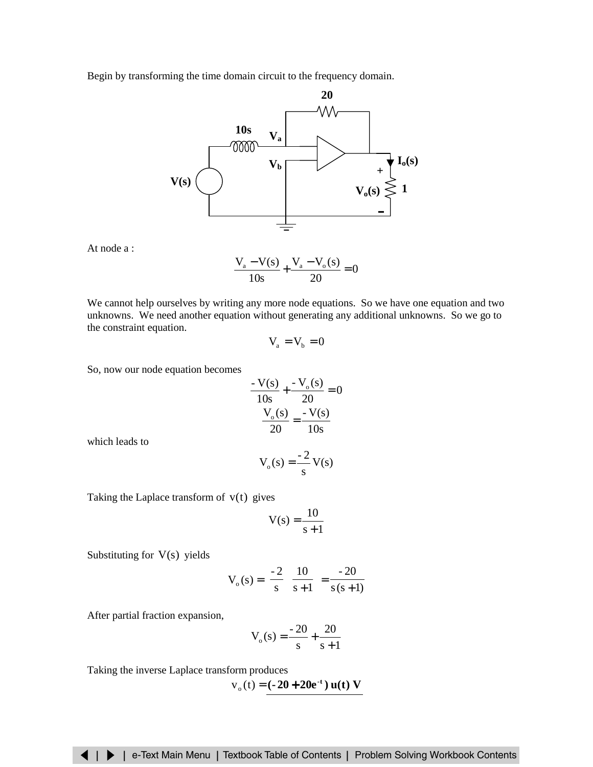Begin by transforming the time domain circuit to the frequency domain.



At node a :

$$
\frac{V_a - V(s)}{10s} + \frac{V_a - V_o(s)}{20} = 0
$$

We cannot help ourselves by writing any more node equations. So we have one equation and two unknowns. We need another equation without generating any additional unknowns. So we go to the constraint equation.

$$
V_a = V_b = 0
$$

So, now our node equation becomes

$$
\frac{-V(s)}{10s} + \frac{-V_o(s)}{20} = 0
$$

$$
\frac{V_o(s)}{20} = \frac{-V(s)}{10s}
$$

which leads to

$$
V_o(s) = \frac{-2}{s} V(s)
$$

Taking the Laplace transform of  $v(t)$  gives

$$
V(s) = \frac{10}{s+1}
$$

Substituting for  $V(s)$  yields

$$
V_o(s) = \left(\frac{-2}{s}\right)\left(\frac{10}{s+1}\right) = \frac{-20}{s(s+1)}
$$

After partial fraction expansion,

$$
V_o(s) = \frac{-20}{s} + \frac{20}{s+1}
$$

Taking the inverse Laplace transform produces

$$
v_{0}(t) = (-20 + 20e^{-t}) u(t) V
$$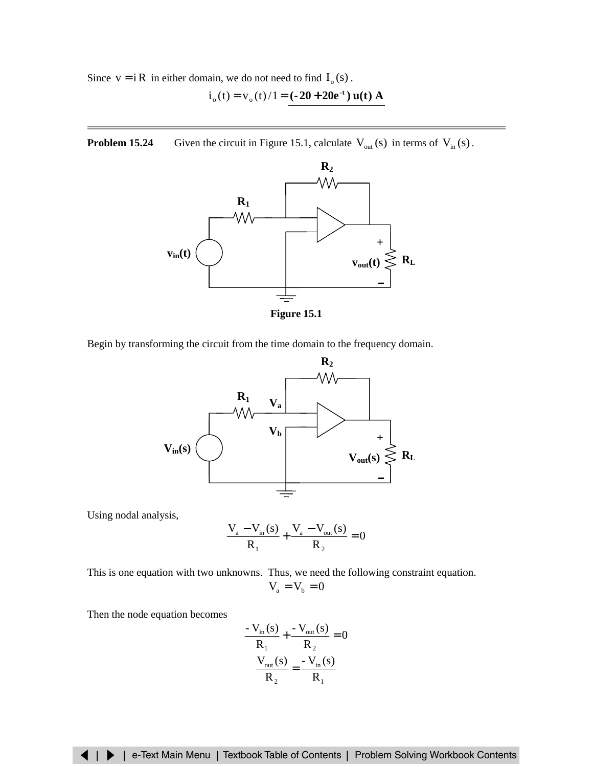Since  $v = iR$  in either domain, we do not need to find  $I_0(s)$ .  $i_o(t) = v_o(t)/1 = (-20 + 20e^{-t})$  **u**(**t**) **A** 

**Problem 15.24** Given the circuit in Figure 15.1, calculate  $V_{\text{out}}(s)$  in terms of  $V_{\text{in}}(s)$ .



**Figure 15.1**

Begin by transforming the circuit from the time domain to the frequency domain.



Using nodal analysis,

$$
\frac{V_{a} - V_{in}(s)}{R_{1}} + \frac{V_{a} - V_{out}(s)}{R_{2}} = 0
$$

This is one equation with two unknowns. Thus, we need the following constraint equation.  $V_{\scriptscriptstyle a}=V_{\scriptscriptstyle b}=0$ 

Then the node equation becomes

$$
\frac{-V_{in}(s)}{R_1} + \frac{-V_{out}(s)}{R_2} = 0
$$

$$
\frac{V_{out}(s)}{R_2} = \frac{-V_{in}(s)}{R_1}
$$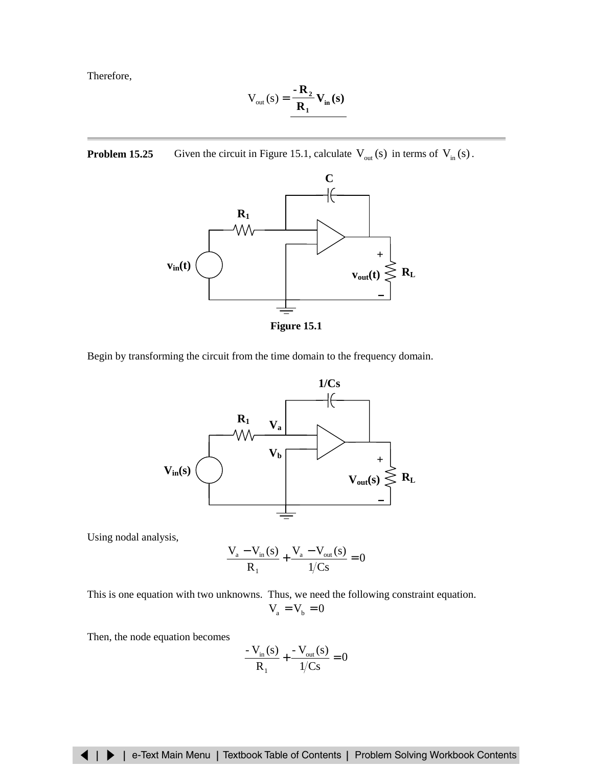<span id="page-28-0"></span>Therefore,

$$
V_{\text{out}}(s) = \frac{-\mathbf{R}_2}{\mathbf{R}_1} V_{\text{in}}(s)
$$

**Problem 15.25** Given the circuit in Figure 15.1, calculate  $V_{\text{out}}(s)$  in terms of  $V_{\text{in}}(s)$ .



**Figure 15.1**

Begin by transforming the circuit from the time domain to the frequency domain.



Using nodal analysis,

$$
\frac{V_a - V_{in}(s)}{R_1} + \frac{V_a - V_{out}(s)}{1/Cs} = 0
$$

This is one equation with two unknowns. Thus, we need the following constraint equation.  $V_{\scriptscriptstyle a}=V_{\scriptscriptstyle b}=0$ 

Then, the node equation becomes

$$
\frac{V_{\text{in}}(s)}{R_1} + \frac{V_{\text{out}}(s)}{1/Cs} = 0
$$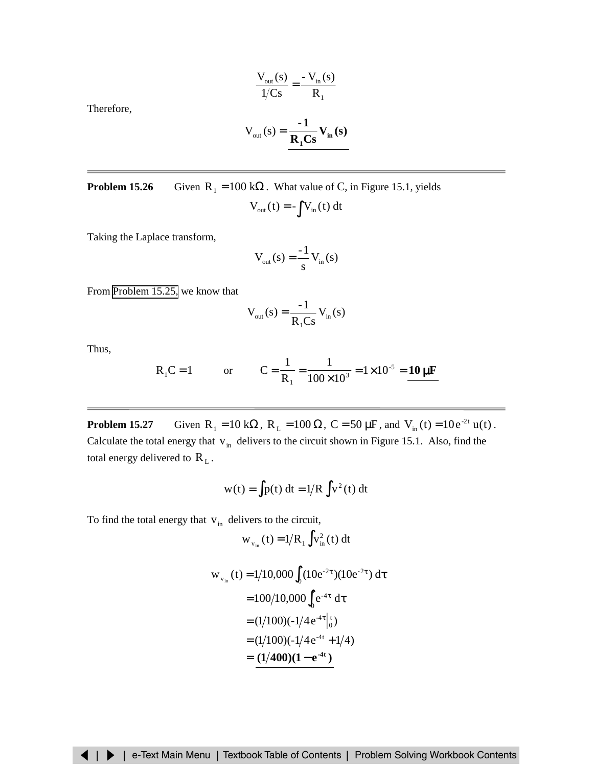$$
\frac{V_{out}(s)}{1/Cs} = \frac{-V_{in}(s)}{R_1}
$$

Therefore,

$$
V_{\text{out}}(s) = \frac{-1}{R_1 Cs} V_{\text{in}}(s)
$$

**Problem 15.26** Given  $R_1 = 100 \text{ k}\Omega$ . What value of C, in Figure 15.1, yields  $V_{\text{out}}(t) = -\int V_{\text{in}}(t) dt$ 

Taking the Laplace transform,

$$
V_{out}(s) = \frac{-1}{s} V_{in}(s)
$$

From [Problem 15.25,](#page-28-0) we know that

$$
V_{out}(s) = \frac{-1}{R_1Cs} V_{in}(s)
$$

Thus,

$$
R_1C = 1
$$
 or  $C = \frac{1}{R_1} = \frac{1}{100 \times 10^3} = 1 \times 10^{-5} = \frac{10 \,\mu\text{F}}{\text{m}}$ 

**Problem 15.27** Given  $R_1 = 10 k\Omega$ ,  $R_L = 100 \Omega$ ,  $C = 50 \mu$ F, and  $V_{in}(t) = 10e^{-2t} u(t)$ . Calculate the total energy that  $v_{in}$  delivers to the circuit shown in Figure 15.1. Also, find the total energy delivered to  $R_L$ .

$$
w(t) = \int p(t) dt = 1/R \int v^2(t) dt
$$

To find the total energy that  $v_{in}$  delivers to the circuit,

$$
w_{v_{in}}(t) = 1/R_1 \int v_{in}^2(t) dt
$$

$$
w_{v_{in}}(t) = 1/10,000 \int_0^t (10e^{-2\tau})(10e^{-2\tau}) d\tau
$$
  
= 100/10,000  $\int_0^t e^{-4\tau} d\tau$   
= (1/100)(-1/4e^{-4\tau}|\_0^t)  
= (1/100)(-1/4e^{-4\tau}+1/4)  
= (1/400)(1-e^{-4\tau})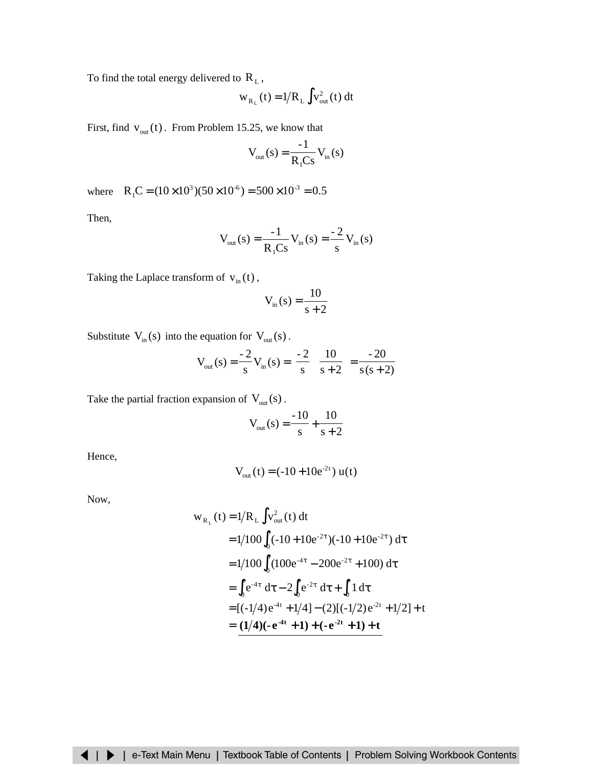To find the total energy delivered to  $R_L$  ,

$$
w_{R_L}(t) = 1/R_L \int v_{out}^2(t) dt
$$

First, find  $v_{out}(t)$ . From Problem 15.25, we know that

$$
V_{\text{out}}(s) = \frac{-1}{R_1 Cs} V_{\text{in}}(s)
$$

where  $R_1C = (10 \times 10^3)(50 \times 10^{-6}) = 500 \times 10^{-3} = 0.5$ 

Then,

$$
V_{out}(s) = \frac{-1}{R_1Cs} V_{in}(s) = \frac{-2}{s} V_{in}(s)
$$

Taking the Laplace transform of  $v_{in}(t)$ ,

$$
V_{in}(s) = \frac{10}{s+2}
$$

Substitute  $V_{in}(s)$  into the equation for  $V_{out}(s)$ .

$$
V_{out}(s) = \frac{-2}{s} V_{in}(s) = \left(\frac{-2}{s}\right) \left(\frac{10}{s+2}\right) = \frac{-20}{s(s+2)}
$$

Take the partial fraction expansion of  $V_{\text{out}}(s)$ .

$$
V_{\text{out}}(s) = \frac{-10}{s} + \frac{10}{s+2}
$$

Hence,

$$
V_{\text{out}}(t) = (-10 + 10e^{-2t}) u(t)
$$

Now,

$$
w_{R_L}(t) = 1/R_L \int v_{out}^2(t) dt
$$
  
= 1/100  $\int_0^t (-10 + 10e^{-2\tau})(-10 + 10e^{-2\tau}) d\tau$   
= 1/100  $\int_0^t (100e^{-4\tau} - 200e^{-2\tau} + 100) d\tau$   
=  $\int_0^t e^{-4\tau} d\tau - 2 \int_0^t e^{-2\tau} d\tau + \int_0^t 1 d\tau$   
=  $[(-1/4)e^{-4t} + 1/4] - (2)[(-1/2)e^{-2t} + 1/2] + t$   
=  $(1/4)(-e^{-4t} + 1) + (-e^{-2t} + 1) + t$